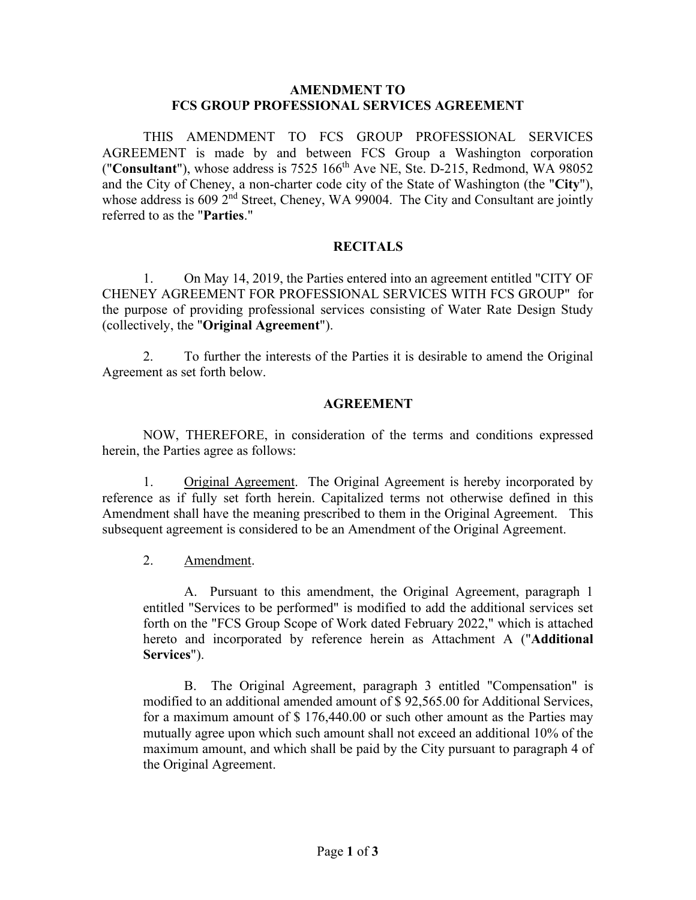#### **AMENDMENT TO FCS GROUP PROFESSIONAL SERVICES AGREEMENT**

THIS AMENDMENT TO FCS GROUP PROFESSIONAL SERVICES AGREEMENT is made by and between FCS Group a Washington corporation ("**Consultant**"), whose address is 7525 166th Ave NE, Ste. D-215, Redmond, WA 98052 and the City of Cheney, a non-charter code city of the State of Washington (the "**City**"), whose address is  $609$   $2<sup>nd</sup>$  Street, Cheney, WA 99004. The City and Consultant are jointly referred to as the "**Parties**."

#### **RECITALS**

1. On May 14, 2019, the Parties entered into an agreement entitled "CITY OF CHENEY AGREEMENT FOR PROFESSIONAL SERVICES WITH FCS GROUP" for the purpose of providing professional services consisting of Water Rate Design Study (collectively, the "**Original Agreement**").

2. To further the interests of the Parties it is desirable to amend the Original Agreement as set forth below.

#### **AGREEMENT**

NOW, THEREFORE, in consideration of the terms and conditions expressed herein, the Parties agree as follows:

1. Original Agreement. The Original Agreement is hereby incorporated by reference as if fully set forth herein. Capitalized terms not otherwise defined in this Amendment shall have the meaning prescribed to them in the Original Agreement. This subsequent agreement is considered to be an Amendment of the Original Agreement.

2. Amendment.

A. Pursuant to this amendment, the Original Agreement, paragraph 1 entitled "Services to be performed" is modified to add the additional services set forth on the "FCS Group Scope of Work dated February 2022," which is attached hereto and incorporated by reference herein as Attachment A ("**Additional Services**").

B. The Original Agreement, paragraph 3 entitled "Compensation" is modified to an additional amended amount of \$ 92,565.00 for Additional Services, for a maximum amount of \$ 176,440.00 or such other amount as the Parties may mutually agree upon which such amount shall not exceed an additional 10% of the maximum amount, and which shall be paid by the City pursuant to paragraph 4 of the Original Agreement.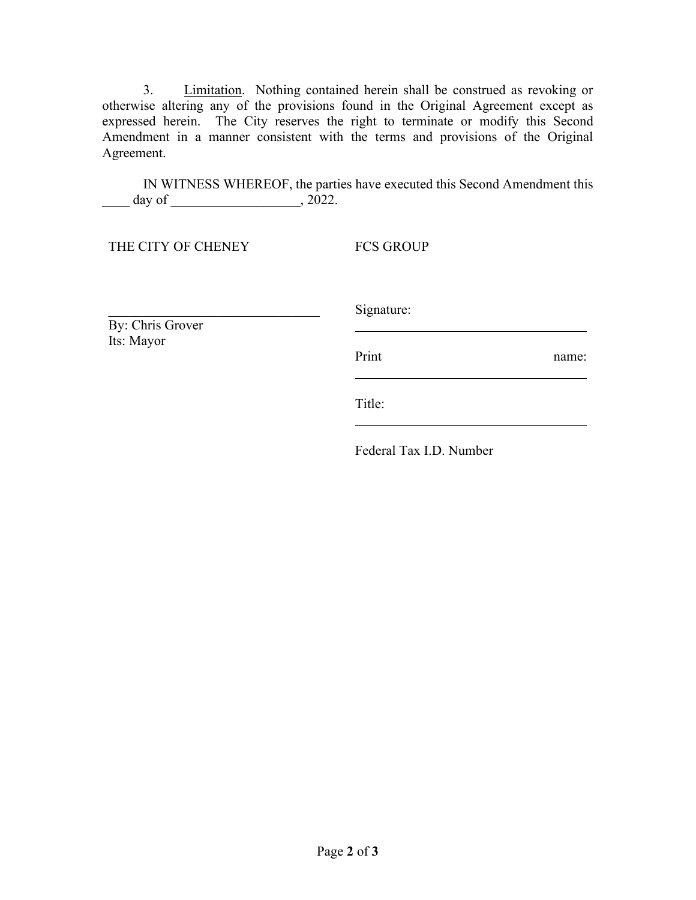3. Limitation. Nothing contained herein shall be construed as revoking or otherwise altering any of the provisions found in the Original Agreement except as expressed herein. The City reserves the right to terminate or modify this Second Amendment in a manner consistent with the terms and provisions of the Original Agreement.

IN WITNESS WHEREOF, the parties have executed this Second Amendment this \_\_\_\_ day of \_\_\_\_\_\_\_\_\_\_\_\_\_\_\_\_\_\_\_, 2022.

THE CITY OF CHENEY

\_\_\_\_\_\_\_\_\_\_\_\_\_\_\_\_\_\_\_\_\_\_\_\_\_\_\_\_\_\_\_

FCS GROUP

By: Chris Grover Its: Mayor

Signature:

Print name:

Title:

Federal Tax I.D. Number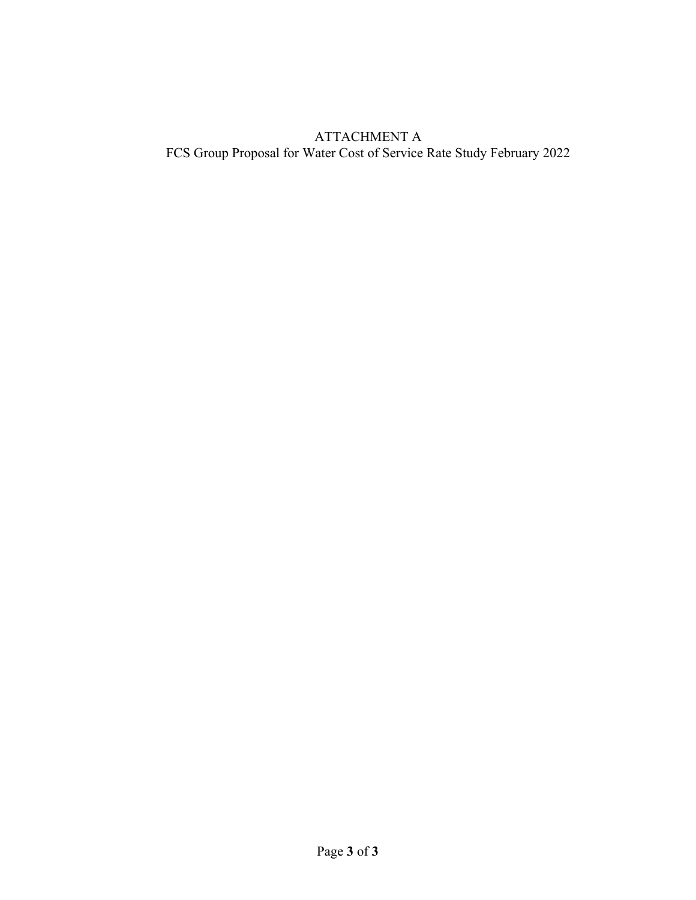#### ATTACHMENT A FCS Group Proposal for Water Cost of Service Rate Study February 2022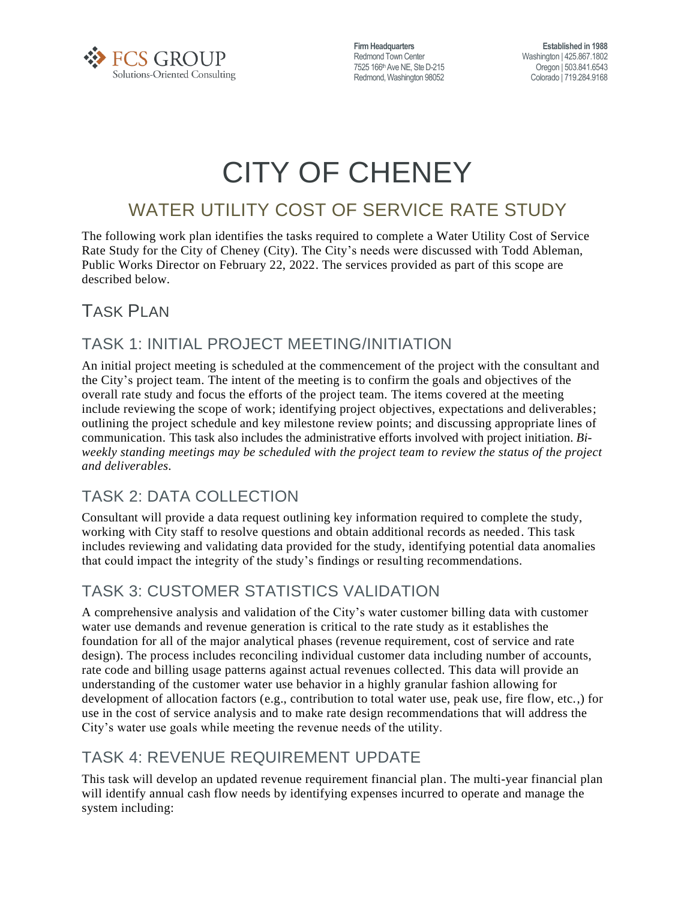

**Firm Headquarters** Redmond Town Center 7525 166<sup>th</sup> Ave NE, Ste D-215 Redmond, Washington 98052

**Established in 1988** Washington | 425.867.1802 Oregon | 503.841.6543 Colorado | 719.284.9168

# CITY OF CHENEY

## WATER UTILITY COST OF SERVICE RATE STUDY

The following work plan identifies the tasks required to complete a Water Utility Cost of Service Rate Study for the City of Cheney (City). The City's needs were discussed with Todd Ableman, Public Works Director on February 22, 2022. The services provided as part of this scope are described below.

## TASK PLAN

#### TASK 1: INITIAL PROJECT MEETING/INITIATION

An initial project meeting is scheduled at the commencement of the project with the consultant and the City's project team. The intent of the meeting is to confirm the goals and objectives of the overall rate study and focus the efforts of the project team. The items covered at the meeting include reviewing the scope of work; identifying project objectives, expectations and deliverables; outlining the project schedule and key milestone review points; and discussing appropriate lines of communication. This task also includes the administrative efforts involved with project initiation. *Biweekly standing meetings may be scheduled with the project team to review the status of the project and deliverables.*

## TASK 2: DATA COLLECTION

Consultant will provide a data request outlining key information required to complete the study, working with City staff to resolve questions and obtain additional records as needed. This task includes reviewing and validating data provided for the study, identifying potential data anomalies that could impact the integrity of the study's findings or resulting recommendations.

## TASK 3: CUSTOMER STATISTICS VALIDATION

A comprehensive analysis and validation of the City's water customer billing data with customer water use demands and revenue generation is critical to the rate study as it establishes the foundation for all of the major analytical phases (revenue requirement, cost of service and rate design). The process includes reconciling individual customer data including number of accounts, rate code and billing usage patterns against actual revenues collected. This data will provide an understanding of the customer water use behavior in a highly granular fashion allowing for development of allocation factors (e.g., contribution to total water use, peak use, fire flow, etc.,) for use in the cost of service analysis and to make rate design recommendations that will address the City's water use goals while meeting the revenue needs of the utility.

## TASK 4: REVENUE REQUIREMENT UPDATE

This task will develop an updated revenue requirement financial plan. The multi-year financial plan will identify annual cash flow needs by identifying expenses incurred to operate and manage the system including: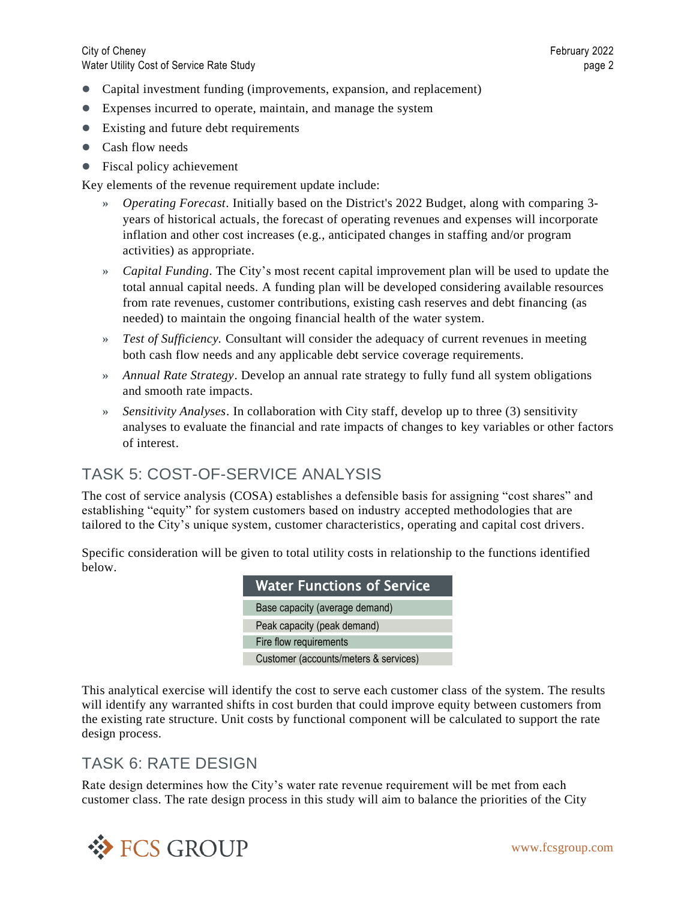City of Cheney February 2022 Water Utility Cost of Service Rate Study page 2

- ⚫ Capital investment funding (improvements, expansion, and replacement)
- ⚫ Expenses incurred to operate, maintain, and manage the system
- Existing and future debt requirements
- Cash flow needs
- Fiscal policy achievement

Key elements of the revenue requirement update include:

- **»** *Operating Forecast*. Initially based on the District's 2022 Budget, along with comparing 3 years of historical actuals, the forecast of operating revenues and expenses will incorporate inflation and other cost increases (e.g., anticipated changes in staffing and/or program activities) as appropriate.
- **»** *Capital Funding*. The City's most recent capital improvement plan will be used to update the total annual capital needs. A funding plan will be developed considering available resources from rate revenues, customer contributions, existing cash reserves and debt financing (as needed) to maintain the ongoing financial health of the water system.
- **»** *Test of Sufficiency.* Consultant will consider the adequacy of current revenues in meeting both cash flow needs and any applicable debt service coverage requirements.
- **»** *Annual Rate Strategy*. Develop an annual rate strategy to fully fund all system obligations and smooth rate impacts.
- **»** *Sensitivity Analyses*. In collaboration with City staff, develop up to three (3) sensitivity analyses to evaluate the financial and rate impacts of changes to key variables or other factors of interest.

#### TASK 5: COST-OF-SERVICE ANALYSIS

The cost of service analysis (COSA) establishes a defensible basis for assigning "cost shares" and establishing "equity" for system customers based on industry accepted methodologies that are tailored to the City's unique system, customer characteristics, operating and capital cost drivers.

Specific consideration will be given to total utility costs in relationship to the functions identified below.

| <b>Water Functions of Service</b>     |
|---------------------------------------|
| Base capacity (average demand)        |
| Peak capacity (peak demand)           |
| Fire flow requirements                |
| Customer (accounts/meters & services) |

This analytical exercise will identify the cost to serve each customer class of the system. The results will identify any warranted shifts in cost burden that could improve equity between customers from the existing rate structure. Unit costs by functional component will be calculated to support the rate design process.

#### TASK 6: RATE DESIGN

Rate design determines how the City's water rate revenue requirement will be met from each customer class. The rate design process in this study will aim to balance the priorities of the City

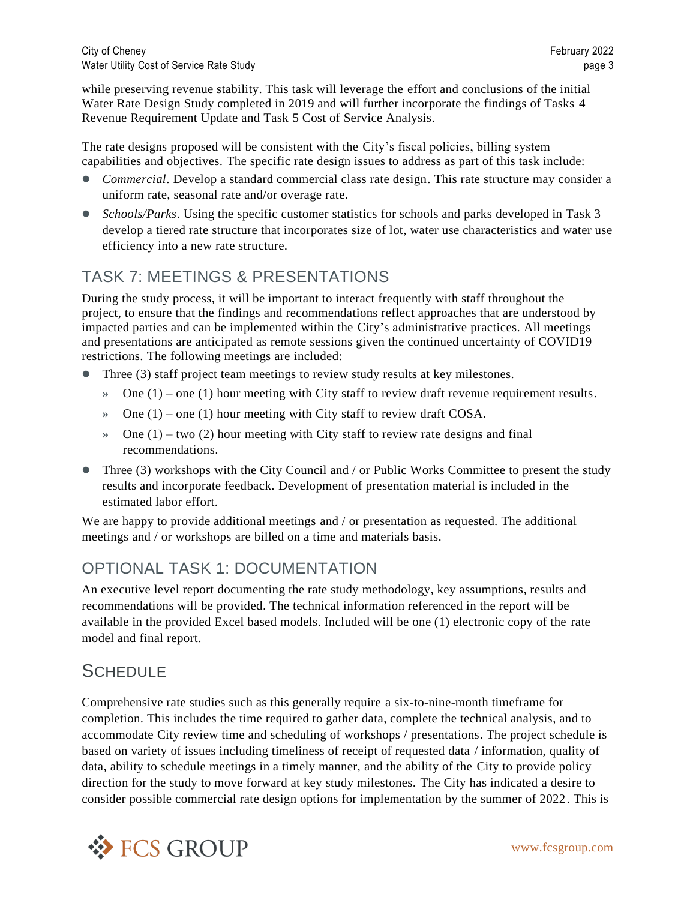while preserving revenue stability. This task will leverage the effort and conclusions of the initial Water Rate Design Study completed in 2019 and will further incorporate the findings of Tasks 4 Revenue Requirement Update and Task 5 Cost of Service Analysis.

The rate designs proposed will be consistent with the City's fiscal policies, billing system capabilities and objectives. The specific rate design issues to address as part of this task include:

- *Commercial*. Develop a standard commercial class rate design. This rate structure may consider a uniform rate, seasonal rate and/or overage rate.
- *Schools/Parks*. Using the specific customer statistics for schools and parks developed in Task 3 develop a tiered rate structure that incorporates size of lot, water use characteristics and water use efficiency into a new rate structure.

#### TASK 7: MEETINGS & PRESENTATIONS

During the study process, it will be important to interact frequently with staff throughout the project, to ensure that the findings and recommendations reflect approaches that are understood by impacted parties and can be implemented within the City's administrative practices. All meetings and presentations are anticipated as remote sessions given the continued uncertainty of COVID19 restrictions. The following meetings are included:

- Three (3) staff project team meetings to review study results at key milestones.
	- **»** One (1) one (1) hour meeting with City staff to review draft revenue requirement results.
	- **»** One (1) one (1) hour meeting with City staff to review draft COSA.
	- **»** One (1) two (2) hour meeting with City staff to review rate designs and final recommendations.
- Three (3) workshops with the City Council and / or Public Works Committee to present the study results and incorporate feedback. Development of presentation material is included in the estimated labor effort.

We are happy to provide additional meetings and / or presentation as requested. The additional meetings and / or workshops are billed on a time and materials basis.

#### OPTIONAL TASK 1: DOCUMENTATION

An executive level report documenting the rate study methodology, key assumptions, results and recommendations will be provided. The technical information referenced in the report will be available in the provided Excel based models. Included will be one (1) electronic copy of the rate model and final report.

#### **SCHEDULE**

Comprehensive rate studies such as this generally require a six-to-nine-month timeframe for completion. This includes the time required to gather data, complete the technical analysis, and to accommodate City review time and scheduling of workshops / presentations. The project schedule is based on variety of issues including timeliness of receipt of requested data / information, quality of data, ability to schedule meetings in a timely manner, and the ability of the City to provide policy direction for the study to move forward at key study milestones. The City has indicated a desire to consider possible commercial rate design options for implementation by the summer of 2022. This is

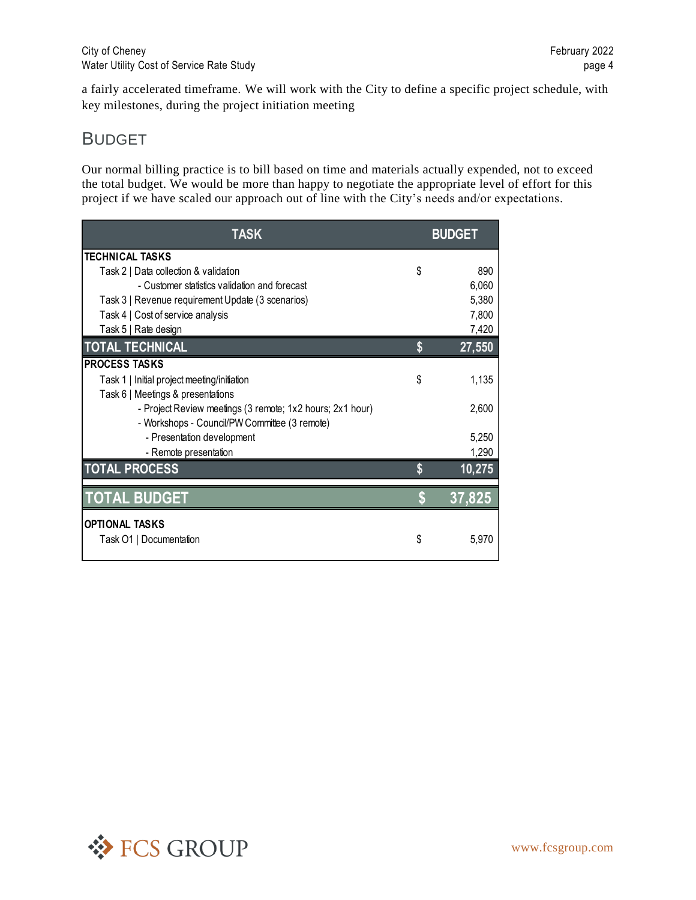a fairly accelerated timeframe. We will work with the City to define a specific project schedule, with key milestones, during the project initiation meeting

#### BUDGET

Our normal billing practice is to bill based on time and materials actually expended, not to exceed the total budget. We would be more than happy to negotiate the appropriate level of effort for this project if we have scaled our approach out of line with the City's needs and/or expectations.

| <b>TASK</b>                                               |    | <b>BUDGET</b> |
|-----------------------------------------------------------|----|---------------|
| <b>TECHNICAL TASKS</b>                                    |    |               |
| Task 2   Data collection & validation                     | \$ | 890           |
| - Customer statistics validation and forecast             |    | 6,060         |
| Task 3   Revenue requirement Update (3 scenarios)         |    | 5,380         |
| Task 4   Cost of service analysis                         |    | 7,800         |
| Task 5   Rate design                                      |    | 7,420         |
| <b>TOTAL TECHNICAL</b>                                    | S  | 27,550        |
| <b>PROCESS TASKS</b>                                      |    |               |
| Task 1   Initial project meeting/initiation               | \$ | 1,135         |
| Task 6   Meetings & presentations                         |    |               |
| - Project Review meetings (3 remote; 1x2 hours; 2x1 hour) |    | 2,600         |
| - Workshops - Council/PW Committee (3 remote)             |    |               |
| - Presentation development                                |    | 5,250         |
| - Remote presentation                                     |    | 1,290         |
| <b>TOTAL PROCESS</b>                                      |    | 10,275        |
| <b>TOTAL BUDGET</b>                                       |    | 37,825        |
| <b>OPTIONAL TASKS</b>                                     |    |               |
| Task O1   Documentation                                   | S. | 5.970         |

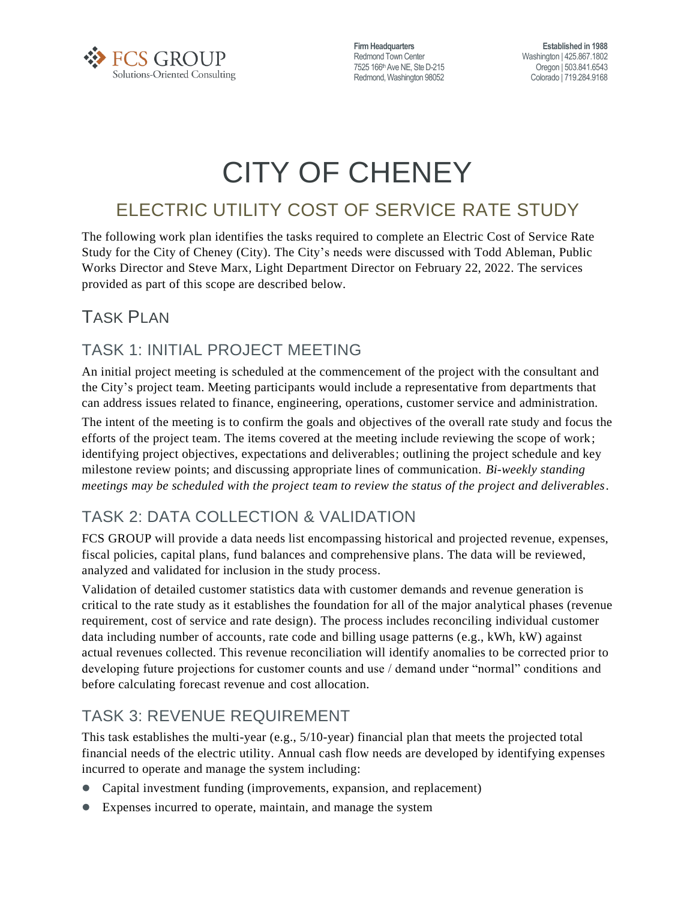

**Firm Headquarters** Redmond Town Center 7525 166<sup>th</sup> Ave NE, Ste D-215 Redmond, Washington 98052

**Established in 1988** Washington | 425.867.1802 Oregon | 503.841.6543 Colorado | 719.284.9168

# CITY OF CHENEY

## ELECTRIC UTILITY COST OF SERVICE RATE STUDY

The following work plan identifies the tasks required to complete an Electric Cost of Service Rate Study for the City of Cheney (City). The City's needs were discussed with Todd Ableman, Public Works Director and Steve Marx, Light Department Director on February 22, 2022. The services provided as part of this scope are described below.

## TASK PLAN

#### TASK 1: INITIAL PROJECT MEETING

An initial project meeting is scheduled at the commencement of the project with the consultant and the City's project team. Meeting participants would include a representative from departments that can address issues related to finance, engineering, operations, customer service and administration.

The intent of the meeting is to confirm the goals and objectives of the overall rate study and focus the efforts of the project team. The items covered at the meeting include reviewing the scope of work; identifying project objectives, expectations and deliverables; outlining the project schedule and key milestone review points; and discussing appropriate lines of communication. *Bi-weekly standing meetings may be scheduled with the project team to review the status of the project and deliverables.*

## TASK 2: DATA COLLECTION & VALIDATION

FCS GROUP will provide a data needs list encompassing historical and projected revenue, expenses, fiscal policies, capital plans, fund balances and comprehensive plans. The data will be reviewed, analyzed and validated for inclusion in the study process.

Validation of detailed customer statistics data with customer demands and revenue generation is critical to the rate study as it establishes the foundation for all of the major analytical phases (revenue requirement, cost of service and rate design). The process includes reconciling individual customer data including number of accounts, rate code and billing usage patterns (e.g., kWh, kW) against actual revenues collected. This revenue reconciliation will identify anomalies to be corrected prior to developing future projections for customer counts and use / demand under "normal" conditions and before calculating forecast revenue and cost allocation.

#### TASK 3: REVENUE REQUIREMENT

This task establishes the multi-year (e.g., 5/10-year) financial plan that meets the projected total financial needs of the electric utility. Annual cash flow needs are developed by identifying expenses incurred to operate and manage the system including:

- ⚫ Capital investment funding (improvements, expansion, and replacement)
- ⚫ Expenses incurred to operate, maintain, and manage the system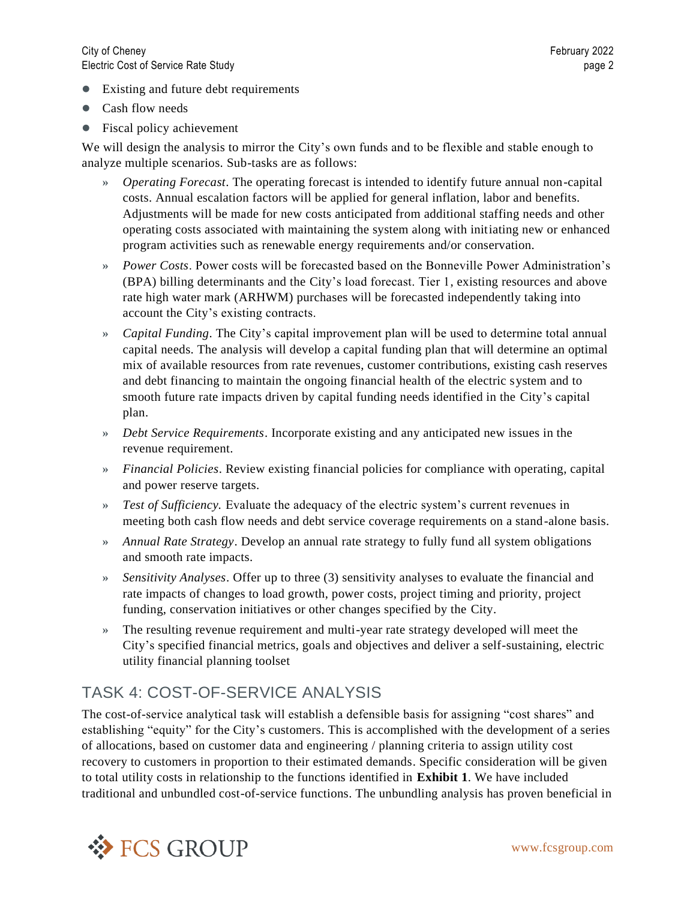- Existing and future debt requirements
- Cash flow needs
- Fiscal policy achievement

We will design the analysis to mirror the City's own funds and to be flexible and stable enough to analyze multiple scenarios. Sub-tasks are as follows:

- **»** *Operating Forecast*. The operating forecast is intended to identify future annual non-capital costs. Annual escalation factors will be applied for general inflation, labor and benefits. Adjustments will be made for new costs anticipated from additional staffing needs and other operating costs associated with maintaining the system along with initiating new or enhanced program activities such as renewable energy requirements and/or conservation.
- **»** *Power Costs*. Power costs will be forecasted based on the Bonneville Power Administration's (BPA) billing determinants and the City's load forecast. Tier 1, existing resources and above rate high water mark (ARHWM) purchases will be forecasted independently taking into account the City's existing contracts.
- **»** *Capital Funding*. The City's capital improvement plan will be used to determine total annual capital needs. The analysis will develop a capital funding plan that will determine an optimal mix of available resources from rate revenues, customer contributions, existing cash reserves and debt financing to maintain the ongoing financial health of the electric system and to smooth future rate impacts driven by capital funding needs identified in the City's capital plan.
- **»** *Debt Service Requirements*. Incorporate existing and any anticipated new issues in the revenue requirement.
- **»** *Financial Policies*. Review existing financial policies for compliance with operating, capital and power reserve targets.
- **»** *Test of Sufficiency.* Evaluate the adequacy of the electric system's current revenues in meeting both cash flow needs and debt service coverage requirements on a stand-alone basis.
- **»** *Annual Rate Strategy*. Develop an annual rate strategy to fully fund all system obligations and smooth rate impacts.
- **»** *Sensitivity Analyses*. Offer up to three (3) sensitivity analyses to evaluate the financial and rate impacts of changes to load growth, power costs, project timing and priority, project funding, conservation initiatives or other changes specified by the City.
- **»** The resulting revenue requirement and multi-year rate strategy developed will meet the City's specified financial metrics, goals and objectives and deliver a self-sustaining, electric utility financial planning toolset

#### TASK 4: COST-OF-SERVICE ANALYSIS

The cost-of-service analytical task will establish a defensible basis for assigning "cost shares" and establishing "equity" for the City's customers. This is accomplished with the development of a series of allocations, based on customer data and engineering / planning criteria to assign utility cost recovery to customers in proportion to their estimated demands. Specific consideration will be given to total utility costs in relationship to the functions identified in **Exhibit 1**. We have included traditional and unbundled cost-of-service functions. The unbundling analysis has proven beneficial in

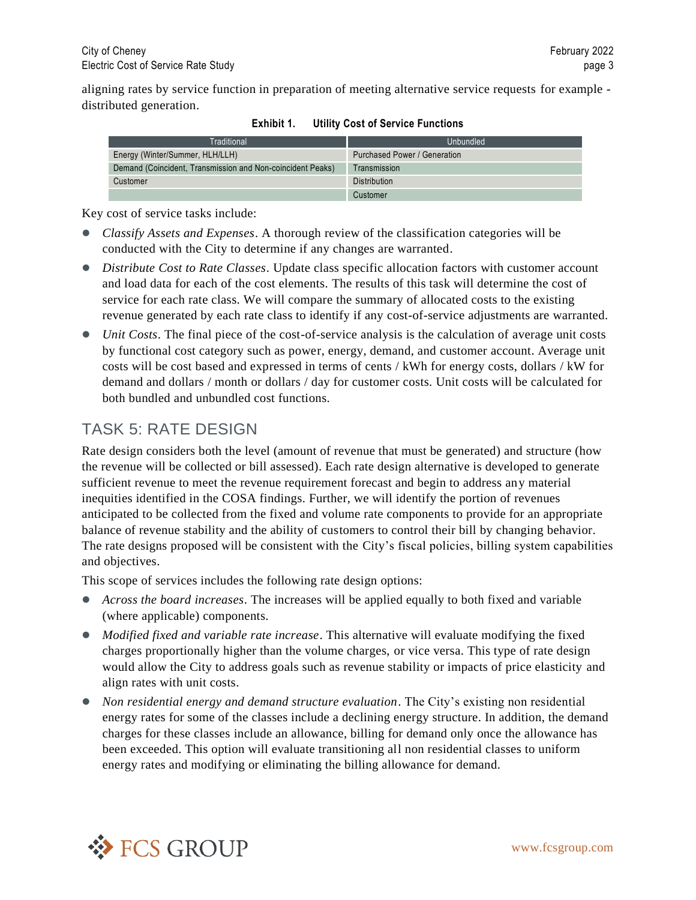aligning rates by service function in preparation of meeting alternative service requests for example distributed generation.

| Traditional                                                | Unbundled                    |
|------------------------------------------------------------|------------------------------|
| Energy (Winter/Summer, HLH/LLH)                            | Purchased Power / Generation |
| Demand (Coincident, Transmission and Non-coincident Peaks) | Transmission                 |
| Customer                                                   | Distribution                 |
|                                                            | Customer                     |

| Exhibit 1. |  |  |  | <b>Utility Cost of Service Functions</b> |
|------------|--|--|--|------------------------------------------|
|------------|--|--|--|------------------------------------------|

Key cost of service tasks include:

- ⚫ *Classify Assets and Expenses*. A thorough review of the classification categories will be conducted with the City to determine if any changes are warranted.
- *Distribute Cost to Rate Classes*. Update class specific allocation factors with customer account and load data for each of the cost elements. The results of this task will determine the cost of service for each rate class. We will compare the summary of allocated costs to the existing revenue generated by each rate class to identify if any cost-of-service adjustments are warranted.
- ⚫ *Unit Costs*. The final piece of the cost-of-service analysis is the calculation of average unit costs by functional cost category such as power, energy, demand, and customer account. Average unit costs will be cost based and expressed in terms of cents / kWh for energy costs, dollars / kW for demand and dollars / month or dollars / day for customer costs. Unit costs will be calculated for both bundled and unbundled cost functions.

#### TASK 5: RATE DESIGN

Rate design considers both the level (amount of revenue that must be generated) and structure (how the revenue will be collected or bill assessed). Each rate design alternative is developed to generate sufficient revenue to meet the revenue requirement forecast and begin to address any material inequities identified in the COSA findings. Further, we will identify the portion of revenues anticipated to be collected from the fixed and volume rate components to provide for an appropriate balance of revenue stability and the ability of customers to control their bill by changing behavior. The rate designs proposed will be consistent with the City's fiscal policies, billing system capabilities and objectives.

This scope of services includes the following rate design options:

- ⚫ *Across the board increases*. The increases will be applied equally to both fixed and variable (where applicable) components.
- *Modified fixed and variable rate increase*. This alternative will evaluate modifying the fixed charges proportionally higher than the volume charges, or vice versa. This type of rate design would allow the City to address goals such as revenue stability or impacts of price elasticity and align rates with unit costs.
- ⚫ *Non residential energy and demand structure evaluation*. The City's existing non residential energy rates for some of the classes include a declining energy structure. In addition, the demand charges for these classes include an allowance, billing for demand only once the allowance has been exceeded. This option will evaluate transitioning all non residential classes to uniform energy rates and modifying or eliminating the billing allowance for demand.

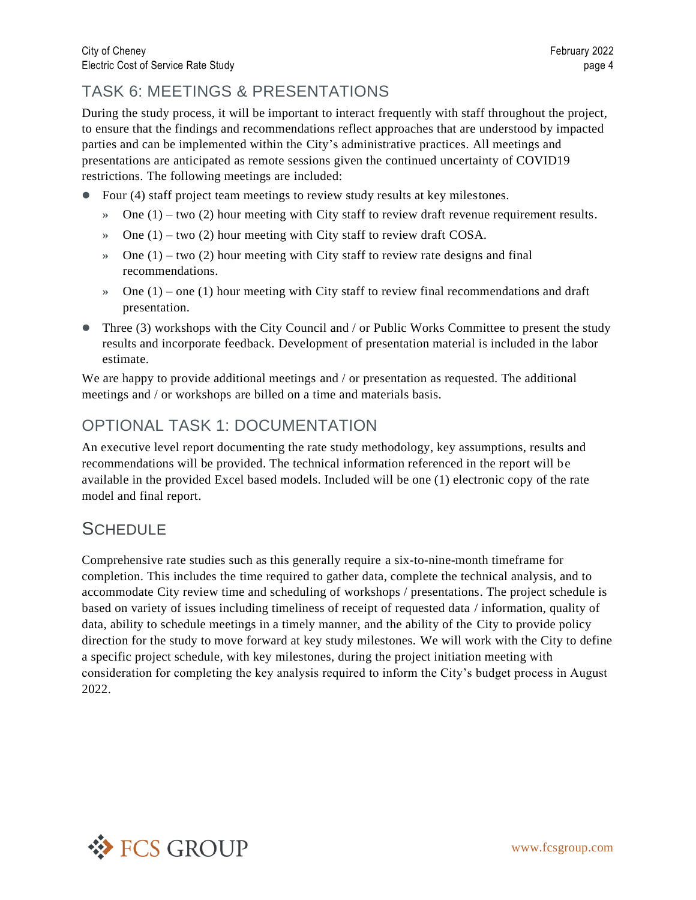#### TASK 6: MEETINGS & PRESENTATIONS

During the study process, it will be important to interact frequently with staff throughout the project, to ensure that the findings and recommendations reflect approaches that are understood by impacted parties and can be implemented within the City's administrative practices. All meetings and presentations are anticipated as remote sessions given the continued uncertainty of COVID19 restrictions. The following meetings are included:

- ⚫ Four (4) staff project team meetings to review study results at key milestones.
	- **»** One (1) two (2) hour meeting with City staff to review draft revenue requirement results.
	- **»** One (1) two (2) hour meeting with City staff to review draft COSA.
	- **»** One (1) two (2) hour meeting with City staff to review rate designs and final recommendations.
	- **»** One (1) one (1) hour meeting with City staff to review final recommendations and draft presentation.
- Three (3) workshops with the City Council and / or Public Works Committee to present the study results and incorporate feedback. Development of presentation material is included in the labor estimate.

We are happy to provide additional meetings and / or presentation as requested. The additional meetings and / or workshops are billed on a time and materials basis.

#### OPTIONAL TASK 1: DOCUMENTATION

An executive level report documenting the rate study methodology, key assumptions, results and recommendations will be provided. The technical information referenced in the report will be available in the provided Excel based models. Included will be one (1) electronic copy of the rate model and final report.

## **SCHEDULE**

Comprehensive rate studies such as this generally require a six-to-nine-month timeframe for completion. This includes the time required to gather data, complete the technical analysis, and to accommodate City review time and scheduling of workshops / presentations. The project schedule is based on variety of issues including timeliness of receipt of requested data / information, quality of data, ability to schedule meetings in a timely manner, and the ability of the City to provide policy direction for the study to move forward at key study milestones. We will work with the City to define a specific project schedule, with key milestones, during the project initiation meeting with consideration for completing the key analysis required to inform the City's budget process in August 2022.

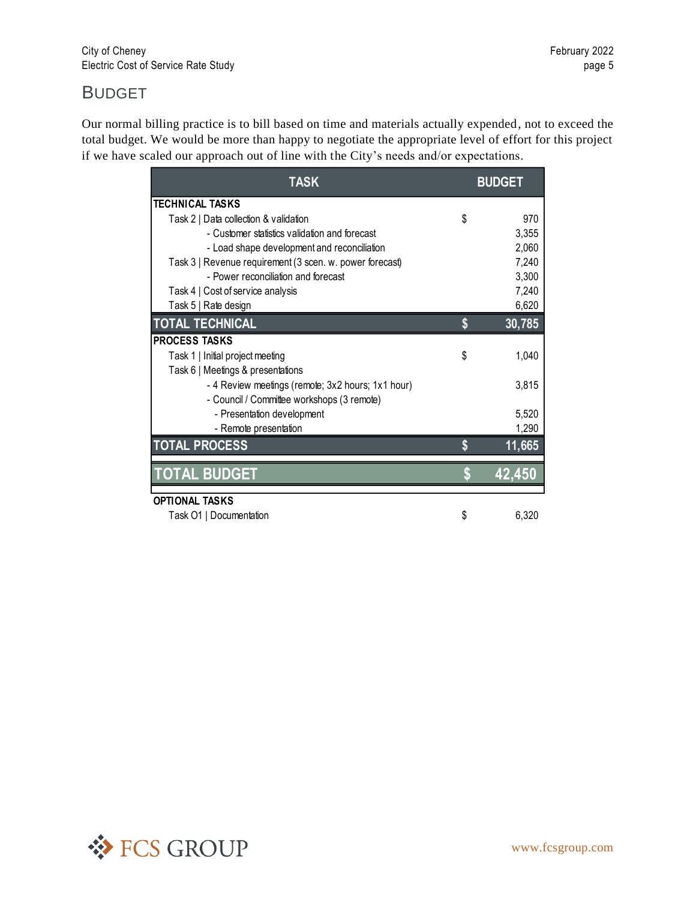#### BUDGET

Our normal billing practice is to bill based on time and materials actually expended, not to exceed the total budget. We would be more than happy to negotiate the appropriate level of effort for this project if we have scaled our approach out of line with the City's needs and/or expectations.

| <b>TASK</b>                                              |    | <b>BUDGET</b> |
|----------------------------------------------------------|----|---------------|
| <b>TECHNICAL TASKS</b>                                   |    |               |
| Task 2   Data collection & validation                    | \$ | 970           |
| - Customer statistics validation and forecast            |    | 3,355         |
| - Load shape development and reconciliation              |    | 2,060         |
| Task 3   Revenue requirement (3 scen. w. power forecast) |    | 7,240         |
| - Power reconciliation and forecast                      |    | 3,300         |
| Task 4   Cost of service analysis                        |    | 7,240         |
| Task 5   Rate design                                     |    | 6,620         |
| <b>TOTAL TECHNICAL</b>                                   | \$ | 30,785        |
| <b>PROCESS TASKS</b>                                     |    |               |
| Task 1   Initial project meeting                         | \$ | 1,040         |
| Task 6   Meetings & presentations                        |    |               |
| - 4 Review meetings (remote; 3x2 hours; 1x1 hour)        |    | 3,815         |
| - Council / Committee workshops (3 remote)               |    |               |
| - Presentation development                               |    | 5,520         |
| - Remote presentation                                    |    | 1,290         |
| <b>TOTAL PROCESS</b>                                     | S  | 11,665        |
| <b>TOTAL BUDGET</b>                                      | \$ | 42,450        |
| <b>OPTIONAL TASKS</b>                                    |    |               |
| Task O1   Documentation                                  | \$ | 6,320         |